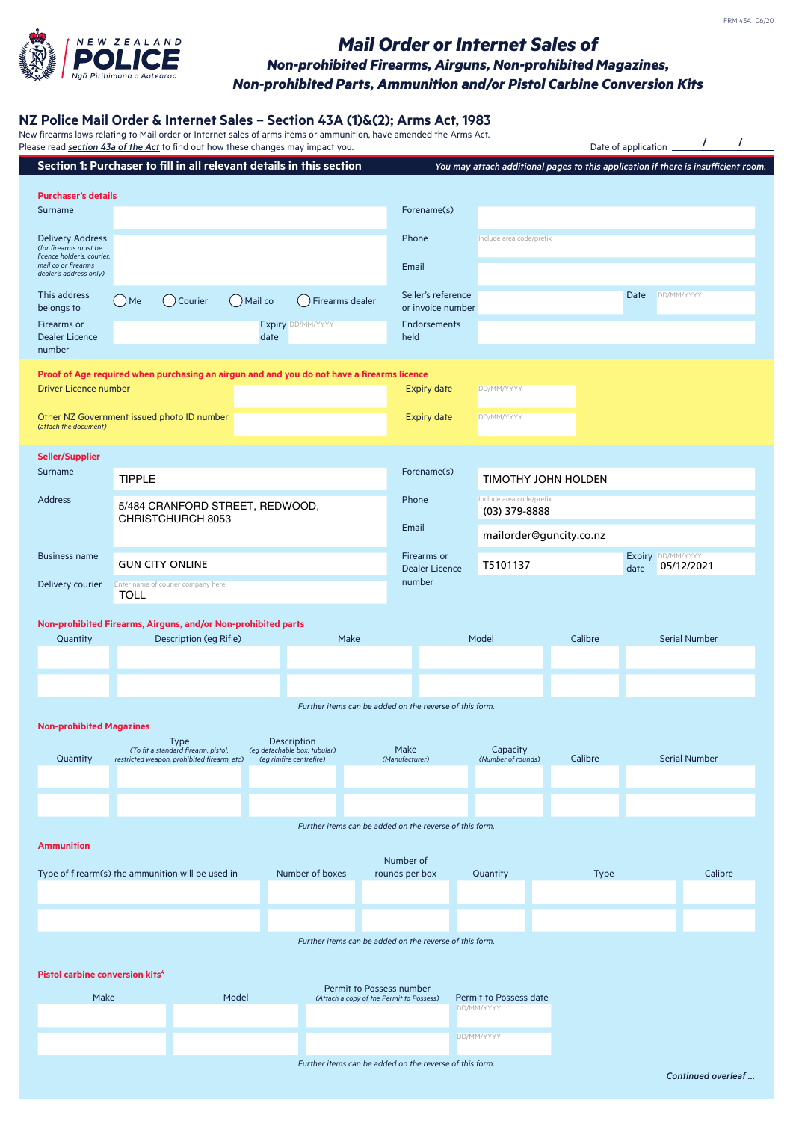

## *Mail Order or Internet Sales of Non-prohibited Firearms, Airguns, Non-prohibited Magazines, Non-prohibited Parts, Ammunition and/or Pistol Carbine Conversion Kits*

## **NZ Police Mail Order & Internet Sales – Section 43A (1)&(2); Arms Act, 1983**<br>New firearms laws relating to Mail order or Internet sales of arms items or ammunition, have amended the Arms Act.

|                                                                                | Please read section 43a of the Act to find out how these changes may impact you.<br>Section 1: Purchaser to fill in all relevant details in this section |                                |                          |                                                                               |                                                         | You may attach additional pages to this application if there is insufficient room. | Date of application _                               |      |                      |  |
|--------------------------------------------------------------------------------|----------------------------------------------------------------------------------------------------------------------------------------------------------|--------------------------------|--------------------------|-------------------------------------------------------------------------------|---------------------------------------------------------|------------------------------------------------------------------------------------|-----------------------------------------------------|------|----------------------|--|
|                                                                                |                                                                                                                                                          |                                |                          |                                                                               |                                                         |                                                                                    |                                                     |      |                      |  |
| <b>Purchaser's details</b><br>Surname                                          |                                                                                                                                                          |                                |                          |                                                                               | Forename(s)                                             |                                                                                    |                                                     |      |                      |  |
|                                                                                |                                                                                                                                                          |                                |                          |                                                                               |                                                         |                                                                                    |                                                     |      |                      |  |
| <b>Delivery Address</b><br>(for firearms must be<br>licence holder's, courier, |                                                                                                                                                          |                                |                          |                                                                               | Phone                                                   | Include area code/prefix                                                           |                                                     |      |                      |  |
| mail co or firearms<br>dealer's address only)                                  |                                                                                                                                                          |                                |                          |                                                                               | Email                                                   |                                                                                    |                                                     |      |                      |  |
| This address<br>belongs to                                                     | ( ) Courier<br>$)$ Me                                                                                                                                    | $()$ Mail co                   | () Firearms dealer       |                                                                               | Seller's reference<br>or invoice number                 |                                                                                    |                                                     | Date | DD/MM/YYYY           |  |
| Firearms or                                                                    |                                                                                                                                                          |                                | <b>Expiry DD/MM/YYYY</b> |                                                                               | <b>Endorsements</b>                                     |                                                                                    |                                                     |      |                      |  |
| <b>Dealer Licence</b><br>number                                                |                                                                                                                                                          | date                           |                          |                                                                               | held                                                    |                                                                                    |                                                     |      |                      |  |
|                                                                                | Proof of Age required when purchasing an airgun and and you do not have a firearms licence                                                               |                                |                          |                                                                               |                                                         |                                                                                    |                                                     |      |                      |  |
| <b>Driver Licence number</b>                                                   |                                                                                                                                                          |                                |                          |                                                                               | <b>Expiry date</b>                                      | DD/MM/YYYY                                                                         |                                                     |      |                      |  |
| (attach the document)                                                          | Other NZ Government issued photo ID number                                                                                                               |                                |                          |                                                                               | <b>Expiry date</b>                                      | DD/MM/YYYY                                                                         |                                                     |      |                      |  |
| Seller/Supplier                                                                |                                                                                                                                                          |                                |                          |                                                                               |                                                         |                                                                                    |                                                     |      |                      |  |
| Surname                                                                        | <b>TIPPLE</b>                                                                                                                                            |                                |                          |                                                                               | Forename(s)                                             | <b>TIMOTHY JOHN HOLDEN</b>                                                         |                                                     |      |                      |  |
| <b>Address</b>                                                                 | 5/484 CRANFORD STREET, REDWOOD,                                                                                                                          |                                |                          |                                                                               | Phone                                                   | Include area code/prefix<br>(03) 379-8888                                          |                                                     |      |                      |  |
|                                                                                | CHRISTCHURCH 8053                                                                                                                                        |                                |                          |                                                                               | Email                                                   |                                                                                    | mailorder@guncity.co.nz                             |      |                      |  |
| <b>Business name</b>                                                           | <b>GUN CITY ONLINE</b>                                                                                                                                   |                                |                          |                                                                               | Firearms or<br><b>Dealer Licence</b>                    |                                                                                    | Expiry DD/MM/YYYY<br>T5101137<br>05/12/2021<br>date |      |                      |  |
| Delivery courier                                                               | Enter name of courier company here                                                                                                                       |                                |                          |                                                                               | number                                                  |                                                                                    |                                                     |      |                      |  |
|                                                                                | TOLL                                                                                                                                                     |                                |                          |                                                                               |                                                         |                                                                                    |                                                     |      |                      |  |
|                                                                                | Non-prohibited Firearms, Airguns, and/or Non-prohibited parts                                                                                            |                                |                          |                                                                               |                                                         | Model                                                                              | Calibre                                             |      | <b>Serial Number</b> |  |
| Quantity                                                                       |                                                                                                                                                          | Description (eg Rifle)<br>Make |                          |                                                                               |                                                         |                                                                                    |                                                     |      |                      |  |
|                                                                                |                                                                                                                                                          |                                |                          |                                                                               |                                                         |                                                                                    |                                                     |      |                      |  |
|                                                                                |                                                                                                                                                          |                                |                          |                                                                               | Further items can be added on the reverse of this form. |                                                                                    |                                                     |      |                      |  |
| <b>Non-prohibited Magazines</b>                                                |                                                                                                                                                          |                                |                          |                                                                               |                                                         |                                                                                    |                                                     |      |                      |  |
|                                                                                | <b>Type</b><br>(To fit a standard firearm, pistol,                                                                                                       |                                |                          | <b>Description</b><br>(eg detachable box, tubular)<br>(eg rimfire centrefire) |                                                         | Capacity                                                                           |                                                     |      | <b>Serial Number</b> |  |
| Quantity                                                                       | restricted weapon, prohibited firearm, etc)                                                                                                              |                                |                          |                                                                               | (Manufacturer)                                          | (Number of rounds)                                                                 | Calibre                                             |      |                      |  |
|                                                                                |                                                                                                                                                          |                                |                          |                                                                               |                                                         |                                                                                    |                                                     |      |                      |  |
|                                                                                |                                                                                                                                                          |                                |                          |                                                                               | Further items can be added on the reverse of this form. |                                                                                    |                                                     |      |                      |  |
| <b>Ammunition</b>                                                              |                                                                                                                                                          |                                |                          |                                                                               |                                                         |                                                                                    |                                                     |      |                      |  |
|                                                                                | Type of firearm(s) the ammunition will be used in                                                                                                        |                                | Number of boxes          |                                                                               | Number of<br>rounds per box                             | Quantity                                                                           | <b>Type</b>                                         |      | Calibre              |  |
|                                                                                |                                                                                                                                                          |                                |                          |                                                                               |                                                         |                                                                                    |                                                     |      |                      |  |
|                                                                                |                                                                                                                                                          |                                |                          |                                                                               |                                                         |                                                                                    |                                                     |      |                      |  |
|                                                                                |                                                                                                                                                          |                                |                          |                                                                               | Further items can be added on the reverse of this form. |                                                                                    |                                                     |      |                      |  |
|                                                                                |                                                                                                                                                          |                                |                          |                                                                               |                                                         |                                                                                    |                                                     |      |                      |  |
|                                                                                |                                                                                                                                                          |                                |                          |                                                                               |                                                         |                                                                                    |                                                     |      |                      |  |
|                                                                                |                                                                                                                                                          |                                |                          |                                                                               |                                                         |                                                                                    |                                                     |      |                      |  |
| Make                                                                           |                                                                                                                                                          | Model                          |                          | Permit to Possess number                                                      | (Attach a copy of the Permit to Possess)                | Permit to Possess date                                                             |                                                     |      |                      |  |
| Pistol carbine conversion kits <sup>4</sup>                                    |                                                                                                                                                          |                                |                          |                                                                               |                                                         | DD/MM/YYYY                                                                         |                                                     |      |                      |  |

*Further items can be added on the reverse of this form.*